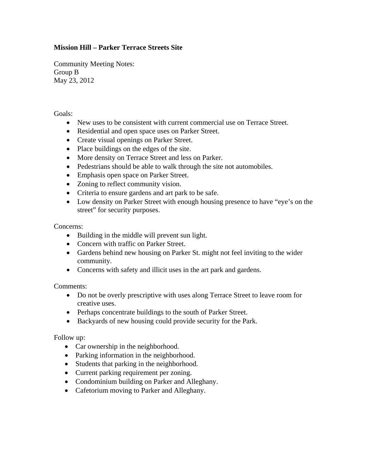## **Mission Hill – Parker Terrace Streets Site**

Community Meeting Notes: Group B May 23, 2012

Goals:

- New uses to be consistent with current commercial use on Terrace Street.
- Residential and open space uses on Parker Street.
- Create visual openings on Parker Street.
- Place buildings on the edges of the site.
- More density on Terrace Street and less on Parker.
- Pedestrians should be able to walk through the site not automobiles.
- Emphasis open space on Parker Street.
- Zoning to reflect community vision.
- Criteria to ensure gardens and art park to be safe.
- Low density on Parker Street with enough housing presence to have "eye's on the street" for security purposes.

Concerns:

- Building in the middle will prevent sun light.
- Concern with traffic on Parker Street.
- Gardens behind new housing on Parker St. might not feel inviting to the wider community.
- Concerns with safety and illicit uses in the art park and gardens.

Comments:

- Do not be overly prescriptive with uses along Terrace Street to leave room for creative uses.
- Perhaps concentrate buildings to the south of Parker Street.
- Backyards of new housing could provide security for the Park.

Follow up:

- Car ownership in the neighborhood.
- Parking information in the neighborhood.
- Students that parking in the neighborhood.
- Current parking requirement per zoning.
- Condominium building on Parker and Alleghany.
- Cafetorium moving to Parker and Alleghany.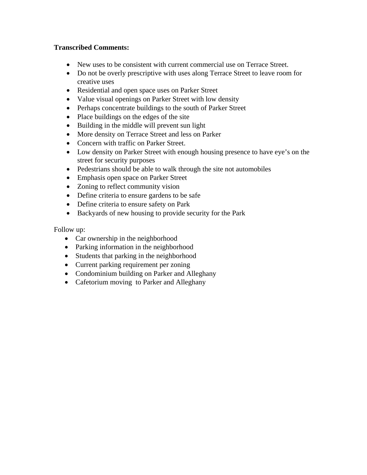## **Transcribed Comments:**

- New uses to be consistent with current commercial use on Terrace Street.
- Do not be overly prescriptive with uses along Terrace Street to leave room for creative uses
- Residential and open space uses on Parker Street
- Value visual openings on Parker Street with low density
- Perhaps concentrate buildings to the south of Parker Street
- Place buildings on the edges of the site
- Building in the middle will prevent sun light
- More density on Terrace Street and less on Parker
- Concern with traffic on Parker Street.
- Low density on Parker Street with enough housing presence to have eye's on the street for security purposes
- Pedestrians should be able to walk through the site not automobiles
- Emphasis open space on Parker Street
- Zoning to reflect community vision
- Define criteria to ensure gardens to be safe
- Define criteria to ensure safety on Park
- Backyards of new housing to provide security for the Park

Follow up:

- Car ownership in the neighborhood
- Parking information in the neighborhood
- Students that parking in the neighborhood
- Current parking requirement per zoning
- Condominium building on Parker and Alleghany
- Cafetorium moving to Parker and Alleghany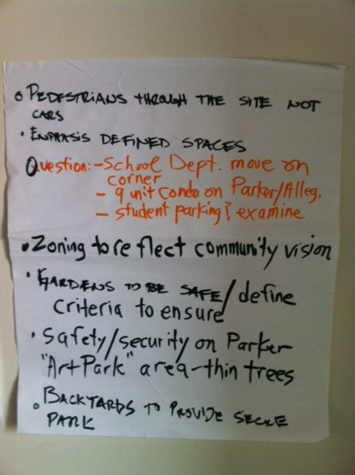o PEDESTRIANS THROUGH THE SITE NOT CARS · ENPIRASIS DEFINED SPACES Question:-School Dept. move on - 9 unit condo on Parter/Alleg.<br>- student parking? examine .Zoning to re flect community vision · GARDENS TO BE SAFE/ define · Safety/security on Parker BACKTARDS To PROVIDE SECRE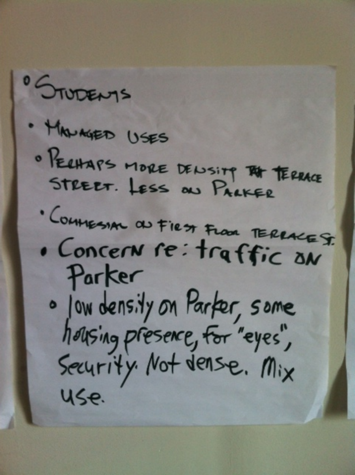<sup>0</sup> STUDENTS · MALAGED USES · PECHAPS MORE DENSITY THE TERRICE · COMMESSION ON FIRST FLOOR TERRACE S. . Concern re: traffic an Parker · Jow density on Parter, some housing presence, for "eyes",<br>Security Not dense. Mix Use.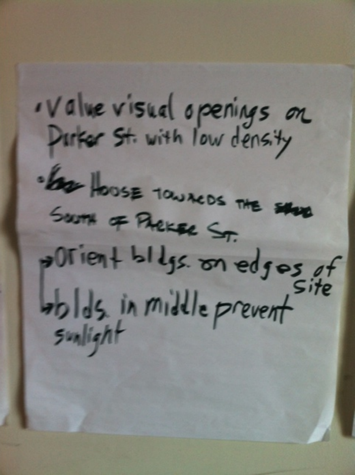. Value visual openings on Star House TOWACOS THE SAND South of Phekase St. porient bldgs on edgos of wolds in middle prevent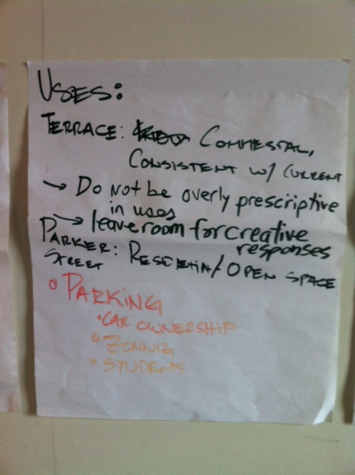VEES: TERRACE: HERE CONVIESTAL, CONSISTENT W/ CULEAT Do Not be overly prescriptive<br>Parker: Resonant or creative O PAEKING ·CAR OWNERSHIP **OF CAINS**